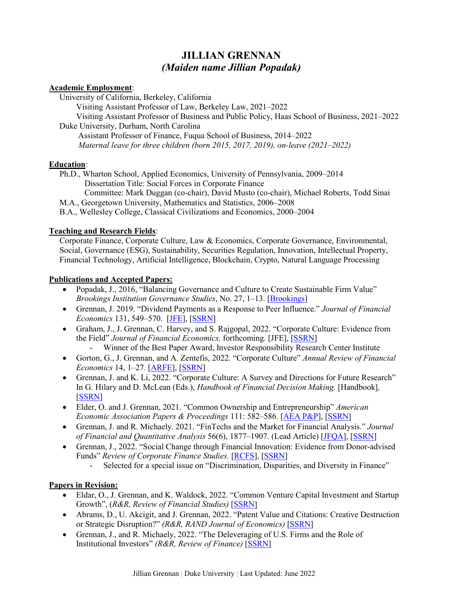# **JILLIAN GRENNAN** *(Maiden name Jillian Popadak)*

#### **Academic Employment**:

 University of California, Berkeley, California Visiting Assistant Professor of Law, Berkeley Law, 2021–2022 Visiting Assistant Professor of Business and Public Policy, Haas School of Business, 2021–2022 Duke University, Durham, North Carolina Assistant Professor of Finance, Fuqua School of Business, 2014–2022

 *Maternal leave for three children (born 2015, 2017, 2019), on-leave (2021*–*2022)*

## **Education**:

Ph.D., Wharton School, Applied Economics, University of Pennsylvania, 2009–2014 Dissertation Title: Social Forces in Corporate Finance Committee: Mark Duggan (co-chair), David Musto (co-chair), Michael Roberts, Todd Sinai M.A., Georgetown University, Mathematics and Statistics, 2006–2008 B.A., Wellesley College, Classical Civilizations and Economics, 2000–2004

## **Teaching and Research Fields**:

Corporate Finance, Corporate Culture, Law & Economics, Corporate Governance, Environmental, Social, Governance (ESG), Sustainability, Securities Regulation, Innovation, Intellectual Property, Financial Technology, Artificial Intelligence, Blockchain, Crypto, Natural Language Processing

#### **Publications and Accepted Papers:**

- Popadak, J., 2016, "Balancing Governance and Culture to Create Sustainable Firm Value" *Brookings Institution Governance Studies*, No. 27, 1–13. [\[Brookings\]](https://www.brookings.edu/research/balancing-governance-and-culture-to-create-sustainable-firm-value/)
- Grennan, J. 2019. "Dividend Payments as a Response to Peer Influence." *Journal of Financial Economics* 131, 549–570. [\[JFE\]](https://www.sciencedirect.com/science/article/pii/S0304405X18302757), [\[SSRN\]](https://papers.ssrn.com/sol3/papers.cfm?abstract_id=2170561)
- Graham, J., J. Grennan, C. Harvey, and S. Rajgopal, 2022. ["Corporate Culture: Evidence from](https://papers.ssrn.com/sol3/papers.cfm?abstract_id=2805602)  [the Field"](https://papers.ssrn.com/sol3/papers.cfm?abstract_id=2805602) *Journal of Financial Economics,* forthcoming*.* [JFE], [\[SSRN\]](https://privpapers.ssrn.com/sol3/papers.cfm?abstract_id=2805602) Winner of the Best Paper Award, Investor Responsibility Research Center Institute
- Gorton, G., J. Grennan, and A. Zentefis, 2022. "Corporate Culture" *Annual Review of Financial Economics* 14, 1–27*.* [\[ARFE\]](https://doi.org/10.1146/annurev-financial-092321-124541), [\[SSRN\]](https://papers.ssrn.com/sol3/papers.cfm?abstract_id=3928972)
- Grennan, J. and K. Li, 2022. "Corporate Culture: A Survey and Directions for Future Research" In G. Hilary and D. McLean (Eds.), *Handbook of Financial Decision Making.* [Handbook]*,*  [\[SSRN\]](https://papers.ssrn.com/sol3/papers.cfm?abstract_id=4095565)
- Elder, O. and J. Grennan, 2021. "Common Ownership and Entrepreneurship" *American Economic Association Papers & Proceedings* 111: 582–586. [\[AEA P&P\]](https://www.aeaweb.org/articles?id=10.1257/pandp.20211120), [\[SSRN\]](https://papers.ssrn.com/sol3/papers.cfm?abstract_id=3762218)
- Grennan, J. and R. Michaely. 2021. "FinTechs and the Market for Financial Analysis." *Journal of Financial and Quantitative Analysis* 56(6), 1877–1907. (Lead Article) [\[JFQA\]](https://doi.org/10.1017/S0022109020000721), [\[SSRN\]](https://papers.ssrn.com/sol3/papers.cfm?abstract_id=3136150)
- Grennan, J., 2022. "Social Change through Financial Innovation: Evidence from Donor-advised Funds" *Review of Corporate Finance Studies.* [\[RCFS\]](https://doi.org/10.1093/rcfs/cfac017), [\[SSRN\]](https://papers.ssrn.com/sol3/papers.cfm?abstract_id=3925198)
	- Selected for a special issue on "Discrimination, Disparities, and Diversity in Finance"

## **Papers in Revision:**

- Eldar, O., J. Grennan, and K. Waldock, 2022. "Common Venture Capital Investment and Startup Growth", (*R&R, Review of Financial Studies)* [\[SSRN\]](https://privpapers.ssrn.com/sol3/papers.cfm?abstract_id=3406205)
- Abrams, D., U. Akcigit, and J. Grennan, 2022. "Patent Value and Citations: Creative Destruction or Strategic Disruption?" *(R&R, RAND Journal of Economics)* [\[SSRN\]](https://privpapers.ssrn.com/sol3/papers.cfm?abstract_id=2351809)
- Grennan, J., and R. Michaely, 2022. "The Deleveraging of U.S. Firms and the Role of Institutional Investors" *(R&R, Review of Finance)* [\[SSRN\]](https://privpapers.ssrn.com/sol3/papers.cfm?abstract_id=1941902)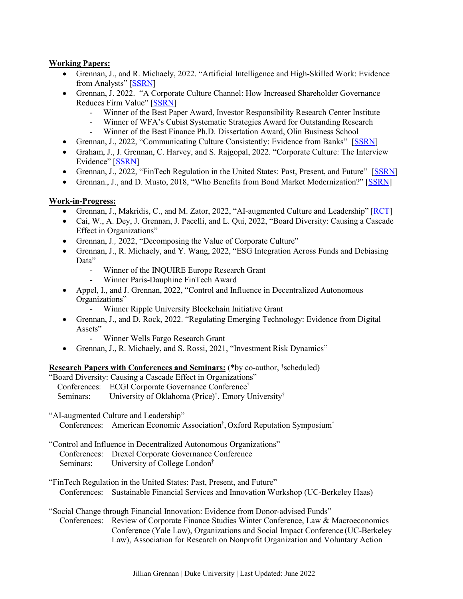#### **Working Papers:**

- Grennan, J., and R. Michaely, 2022. "Artificial Intelligence and High-Skilled Work: Evidence from Analysts" [\[SSRN\]](https://privpapers.ssrn.com/sol3/papers.cfm?abstract_id=3681574)
- Grennan, J. 2022. "A Corporate Culture Channel: How Increased Shareholder Governance Reduces Firm Value" [\[SSRN\]](https://privpapers.ssrn.com/sol3/papers.cfm?abstract_id=2345384)
	- Winner of the Best Paper Award, Investor Responsibility Research Center Institute
	- Winner of WFA's Cubist Systematic Strategies Award for Outstanding Research
	- Winner of the Best Finance Ph.D. Dissertation Award, Olin Business School
- Grennan, J., 2022, "Communicating Culture Consistently: Evidence from Banks"[\[SSRN\]](https://privpapers.ssrn.com/sol3/papers.cfm?abstract_id=3350645)
- Graham, J., J. Grennan, C. Harvey, and S. Rajgopal, 2022. "Corporate Culture: The Interview Evidence" [\[SSRN\]](https://privpapers.ssrn.com/sol3/papers.cfm?abstract_id=2842823)
- Grennan, J., 2022, "FinTech Regulation in the United States: Past, Present, and Future" [\[SSRN\]](https://papers.ssrn.com/sol3/papers.cfm?abstract_id=4045057)
- Grennan., J., and D. Musto, 2018, "Who Benefits from Bond Market Modernization?" [\[SSRN\]](https://privpapers.ssrn.com/sol3/papers.cfm?abstract_id=2713865)

#### **Work-in-Progress:**

- Grennan, J., Makridis, C., and M. Zator, 2022, "AI-augmented Culture and Leadership" [\[RCT\]](https://www.socialscienceregistry.org/trials/8168)
- Cai, W., A. Dey, J. Grennan, J. Pacelli, and L. Qui, 2022, "Board Diversity: Causing a Cascade Effect in Organizations"
- Grennan, J., 2022, "Decomposing the Value of Corporate Culture"
- Grennan, J., R. Michaely, and Y. Wang, 2022, "ESG Integration Across Funds and Debiasing Data"
	- Winner of the INQUIRE Europe Research Grant
	- Winner Paris-Dauphine FinTech Award
- Appel, I., and J. Grennan, 2022, "Control and Influence in Decentralized Autonomous Organizations"
	- Winner Ripple University Blockchain Initiative Grant
- Grennan, J., and D. Rock, 2022. "Regulating Emerging Technology: Evidence from Digital Assets"
	- Winner Wells Fargo Research Grant
- Grennan, J., R. Michaely, and S. Rossi, 2021, "Investment Risk Dynamics"

#### **Research Papers with Conferences and Seminars:** (\*by co-author, † scheduled)

"Board Diversity: Causing a Cascade Effect in Organizations" Conferences: ECGI Corporate Governance Conference† Seminars: University of Oklahoma (Price)<sup>†</sup>, Emory University<sup>†</sup>

"AI-augmented Culture and Leadership"

Conferences: American Economic Association† , Oxford Reputation Symposium†

"Control and Influence in Decentralized Autonomous Organizations"

- Conferences: Drexel Corporate Governance Conference
- Seminars: University of College London†

"FinTech Regulation in the United States: Past, Present, and Future" Conferences: Sustainable Financial Services and Innovation Workshop (UC-Berkeley Haas)

"Social Change through Financial Innovation: Evidence from Donor-advised Funds"

Conferences: Review of Corporate Finance Studies Winter Conference, Law & Macroeconomics Conference (Yale Law), Organizations and Social Impact Conference (UC-Berkeley Law), Association for Research on Nonprofit Organization and Voluntary Action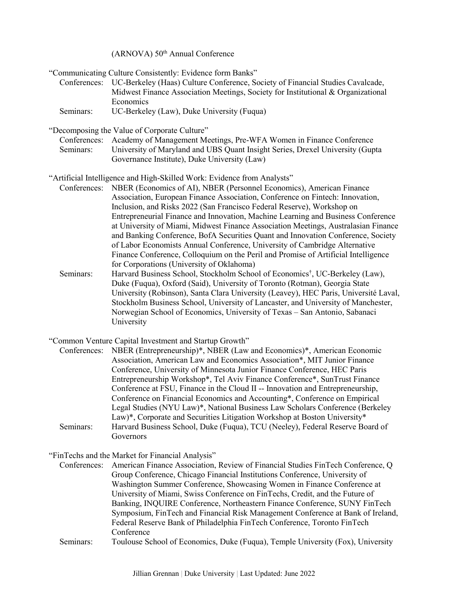(ARNOVA) 50<sup>th</sup> Annual Conference

"Communicating Culture Consistently: Evidence form Banks"

Conferences: UC-Berkeley (Haas) Culture Conference, Society of Financial Studies Cavalcade, Midwest Finance Association Meetings, Society for Institutional & Organizational **Economics** 

Seminars: UC-Berkeley (Law), Duke University (Fuqua)

"Decomposing the Value of Corporate Culture"

|           | Conferences: Academy of Management Meetings, Pre-WFA Women in Finance Conference |
|-----------|----------------------------------------------------------------------------------|
| Seminars: | University of Maryland and UBS Quant Insight Series, Drexel University (Gupta    |
|           | Governance Institute), Duke University (Law)                                     |

["Artificial Intelligence and High-Skilled Work: Evidence from Analysts"](https://papers.ssrn.com/sol3/papers.cfm?abstract_id=3681574)

- Conferences: NBER (Economics of AI), NBER (Personnel Economics), American Finance Association, European Finance Association, Conference on Fintech: Innovation, Inclusion, and Risks 2022 (San Francisco Federal Reserve), Workshop on Entrepreneurial Finance and Innovation, Machine Learning and Business Conference at University of Miami, Midwest Finance Association Meetings, Australasian Finance and Banking Conference, BofA Securities Quant and Innovation Conference, Society of Labor Economists Annual Conference, University of Cambridge Alternative Finance Conference, Colloquium on the Peril and Promise of Artificial Intelligence for Corporations (University of Oklahoma)
- Seminars: Harvard Business School, Stockholm School of Economics† , UC-Berkeley (Law), Duke (Fuqua), Oxford (Said), University of Toronto (Rotman), Georgia State University (Robinson), Santa Clara University (Leavey), HEC Paris, Université Laval, Stockholm Business School, University of Lancaster, and University of Manchester, Norwegian School of Economics, University of Texas – San Antonio, Sabanaci University
- "Common Venture Capital Investment and Startup Growth"

| Conferences: | NBER (Entrepreneurship)*, NBER (Law and Economics)*, American Economic         |
|--------------|--------------------------------------------------------------------------------|
|              | Association, American Law and Economics Association*, MIT Junior Finance       |
|              | Conference, University of Minnesota Junior Finance Conference, HEC Paris       |
|              | Entrepreneurship Workshop*, Tel Aviv Finance Conference*, SunTrust Finance     |
|              | Conference at FSU, Finance in the Cloud II -- Innovation and Entrepreneurship, |
|              | Conference on Financial Economics and Accounting*, Conference on Empirical     |
|              | Legal Studies (NYU Law)*, National Business Law Scholars Conference (Berkeley  |
|              | Law)*, Corporate and Securities Litigation Workshop at Boston University*      |
| Seminars:    | Harvard Business School, Duke (Fuqua), TCU (Neeley), Federal Reserve Board of  |
|              | Governors                                                                      |

#### "FinTechs and the Market for Financial Analysis"

Conferences: American Finance Association, Review of Financial Studies FinTech Conference, Q Group Conference, Chicago Financial Institutions Conference, University of Washington Summer Conference, Showcasing Women in Finance Conference at University of Miami, Swiss Conference on FinTechs, Credit, and the Future of Banking, INQUIRE Conference, Northeastern Finance Conference, SUNY FinTech Symposium, FinTech and Financial Risk Management Conference at Bank of Ireland, Federal Reserve Bank of Philadelphia FinTech Conference, Toronto FinTech Conference

Seminars: Toulouse School of Economics, Duke (Fuqua), Temple University (Fox), University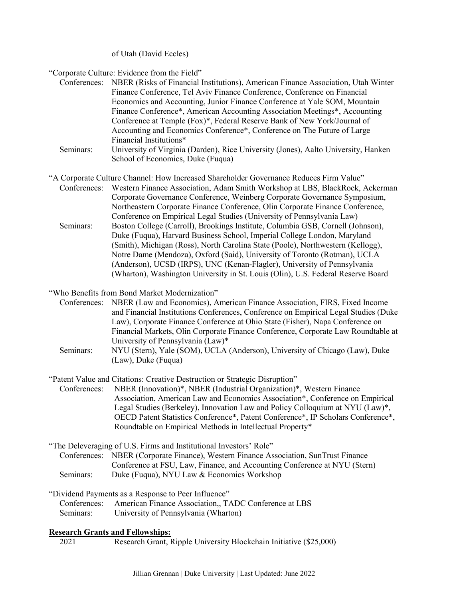of Utah (David Eccles)

"Corporate Culture: Evidence from the Field"

| Conferences: | NBER (Risks of Financial Institutions), American Finance Association, Utah Winter |                                                                                       |
|--------------|-----------------------------------------------------------------------------------|---------------------------------------------------------------------------------------|
|              |                                                                                   | Finance Conference, Tel Aviv Finance Conference, Conference on Financial              |
|              |                                                                                   | Economics and Accounting, Junior Finance Conference at Yale SOM, Mountain             |
|              |                                                                                   | Finance Conference*, American Accounting Association Meetings*, Accounting            |
|              |                                                                                   | Conference at Temple (Fox)*, Federal Reserve Bank of New York/Journal of              |
|              |                                                                                   | Accounting and Economics Conference*, Conference on The Future of Large               |
|              |                                                                                   | Financial Institutions*                                                               |
|              |                                                                                   | Iniversity of Virginia (Dardan), Digo IIniversity (Jones), A alta IIniversity, Hankon |

- Seminars: University of Virginia (Darden), Rice University (Jones), Aalto University, Hanken School of Economics, Duke (Fuqua)
- "A Corporate Culture Channel: How Increased Shareholder Governance Reduces Firm Value" Conferences: Western Finance Association, Adam Smith Workshop at LBS, BlackRock, Ackerman Seminars: Corporate Governance Conference, Weinberg Corporate Governance Symposium, Northeastern Corporate Finance Conference, Olin Corporate Finance Conference, Conference on Empirical Legal Studies (University of Pennsylvania Law) Boston College (Carroll), Brookings Institute, Columbia GSB, Cornell (Johnson), Duke (Fuqua), Harvard Business School, Imperial College London, Maryland (Smith), Michigan (Ross), North Carolina State (Poole), Northwestern (Kellogg), Notre Dame (Mendoza), Oxford (Said), University of Toronto (Rotman), UCLA (Anderson), UCSD (IRPS), UNC (Kenan-Flagler), University of Pennsylvania (Wharton), Washington University in St. Louis (Olin), U.S. Federal Reserve Board
- "Who Benefits from Bond Market Modernization"
	- Conferences: NBER (Law and Economics), American Finance Association, FIRS, Fixed Income and Financial Institutions Conferences, Conference on Empirical Legal Studies (Duke Law), Corporate Finance Conference at Ohio State (Fisher), Napa Conference on Financial Markets, Olin Corporate Finance Conference, Corporate Law Roundtable at University of Pennsylvania (Law)\*
	- Seminars: NYU (Stern), Yale (SOM), UCLA (Anderson), University of Chicago (Law), Duke (Law), Duke (Fuqua)

"Patent Value and Citations: Creative Destruction or Strategic Disruption"

Conferences: NBER (Innovation)\*, NBER (Industrial Organization)\*, Western Finance Association, American Law and Economics Association\*, Conference on Empirical Legal Studies (Berkeley), Innovation Law and Policy Colloquium at NYU (Law)\*, OECD Patent Statistics Conference\*, Patent Conference\*, IP Scholars Conference\*, Roundtable on Empirical Methods in Intellectual Property\*

- "The Deleveraging of U.S. Firms and Institutional Investors' Role" Conferences: NBER (Corporate Finance), Western Finance Association, SunTrust Finance Seminars: Conference at FSU, Law, Finance, and Accounting Conference at NYU (Stern) Duke (Fuqua), NYU Law & Economics Workshop
- "Dividend Payments as a Response to Peer Influence"
	- Conferences: American Finance Association,, TADC Conference at LBS
	- Seminars: University of Pennsylvania (Wharton)

#### **Research Grants and Fellowships:**

2021 Research Grant, Ripple University Blockchain Initiative (\$25,000)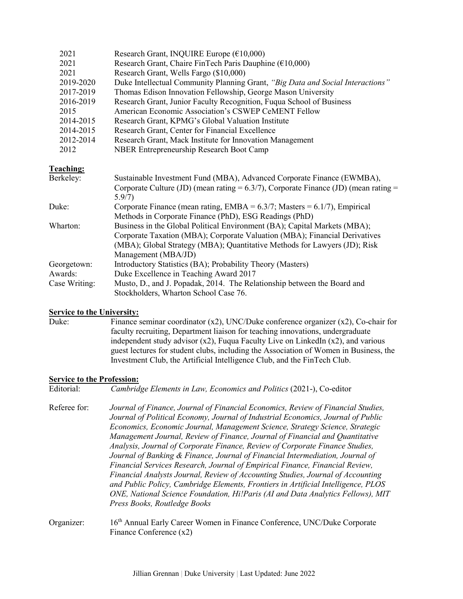| 2021             | Research Grant, INQUIRE Europe $(\text{\textsterling}10,000)$                          |
|------------------|----------------------------------------------------------------------------------------|
| 2021             | Research Grant, Chaire FinTech Paris Dauphine (€10,000)                                |
| 2021             | Research Grant, Wells Fargo (\$10,000)                                                 |
| 2019-2020        | Duke Intellectual Community Planning Grant, "Big Data and Social Interactions"         |
| 2017-2019        | Thomas Edison Innovation Fellowship, George Mason University                           |
| 2016-2019        | Research Grant, Junior Faculty Recognition, Fuqua School of Business                   |
| 2015             | American Economic Association's CSWEP CeMENT Fellow                                    |
| 2014-2015        | Research Grant, KPMG's Global Valuation Institute                                      |
| 2014-2015        | Research Grant, Center for Financial Excellence                                        |
| 2012-2014        | Research Grant, Mack Institute for Innovation Management                               |
| 2012             | <b>NBER Entrepreneurship Research Boot Camp</b>                                        |
| <b>Teaching:</b> |                                                                                        |
| Berkeley:        | Sustainable Investment Fund (MBA), Advanced Corporate Finance (EWMBA),                 |
|                  | Corporate Culture (JD) (mean rating = $6.3/7$ ), Corporate Finance (JD) (mean rating = |
|                  | 5.9/7)<br>Corporate Finance (mean rating, $EMBA = 6.3/7$ ; Masters = 6.1/7), Empirical |
| Duke:            | Methods in Corporate Finance (PhD), ESG Readings (PhD)                                 |
| Wharton:         | Business in the Global Political Environment (BA); Capital Markets (MBA);              |
|                  | Corporate Taxation (MBA); Corporate Valuation (MBA); Financial Derivatives             |
|                  | (MBA); Global Strategy (MBA); Quantitative Methods for Lawyers (JD); Risk              |
|                  | Management (MBA/JD)                                                                    |
| Georgetown:      | Introductory Statistics (BA); Probability Theory (Masters)                             |
| Awards:          |                                                                                        |
|                  | Duke Excellence in Teaching Award 2017                                                 |
| Case Writing:    | Musto, D., and J. Popadak, 2014. The Relationship between the Board and                |
|                  | Stockholders, Wharton School Case 76.                                                  |

#### **Service to the University:**

Duke: Finance seminar coordinator  $(x2)$ , UNC/Duke conference organizer  $(x2)$ , Co-chair for faculty recruiting, Department liaison for teaching innovations, undergraduate independent study advisor  $(x2)$ , Fuqua Faculty Live on LinkedIn  $(x2)$ , and various guest lectures for student clubs, including the Association of Women in Business, the Investment Club, the Artificial Intelligence Club, and the FinTech Club.

# **Service to the Profession:**<br> **Editorial:** *Cambrid*

Cambridge Elements in Law, *Economics and Politics* (2021-), Co-editor

Referee for: *Journal of Finance, Journal of Financial Economics, Review of Financial Studies, Journal of Political Economy, Journal of Industrial Economics, Journal of Public Economics, Economic Journal, Management Science, Strategy Science, Strategic Management Journal, Review of Finance, Journal of Financial and Quantitative Analysis, Journal of Corporate Finance, Review of Corporate Finance Studies, Journal of Banking & Finance, Journal of Financial Intermediation, Journal of Financial Services Research, Journal of Empirical Finance, Financial Review, Financial Analysts Journal, Review of Accounting Studies, Journal of Accounting and Public Policy, Cambridge Elements, Frontiers in Artificial Intelligence, PLOS ONE, National Science Foundation, Hi!Paris (AI and Data Analytics Fellows), MIT Press Books, Routledge Books* 

Organizer: 16th Annual Early Career Women in Finance Conference, UNC/Duke Corporate Finance Conference (x2)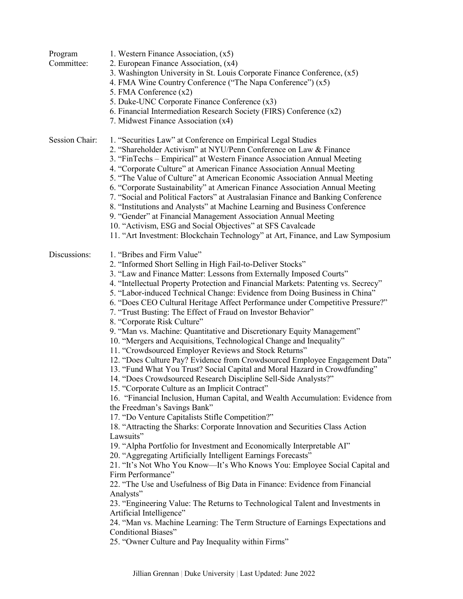| Program<br>Committee: | 1. Western Finance Association, (x5)<br>2. European Finance Association, (x4)<br>3. Washington University in St. Louis Corporate Finance Conference, (x5)<br>4. FMA Wine Country Conference ("The Napa Conference") (x5)<br>5. FMA Conference (x2)<br>5. Duke-UNC Corporate Finance Conference (x3)<br>6. Financial Intermediation Research Society (FIRS) Conference (x2)<br>7. Midwest Finance Association (x4)                                                                                                                                                                                                                                                                                                                                                                                                                                                                                                                                                                                                                                                                                                                                                                                                                                                                                                                                                                                                                                                                                                                                                                                                                                                                                                                                                                                                                                                                                                    |
|-----------------------|----------------------------------------------------------------------------------------------------------------------------------------------------------------------------------------------------------------------------------------------------------------------------------------------------------------------------------------------------------------------------------------------------------------------------------------------------------------------------------------------------------------------------------------------------------------------------------------------------------------------------------------------------------------------------------------------------------------------------------------------------------------------------------------------------------------------------------------------------------------------------------------------------------------------------------------------------------------------------------------------------------------------------------------------------------------------------------------------------------------------------------------------------------------------------------------------------------------------------------------------------------------------------------------------------------------------------------------------------------------------------------------------------------------------------------------------------------------------------------------------------------------------------------------------------------------------------------------------------------------------------------------------------------------------------------------------------------------------------------------------------------------------------------------------------------------------------------------------------------------------------------------------------------------------|
| Session Chair:        | 1. "Securities Law" at Conference on Empirical Legal Studies<br>2. "Shareholder Activism" at NYU/Penn Conference on Law & Finance<br>3. "FinTechs – Empirical" at Western Finance Association Annual Meeting<br>4. "Corporate Culture" at American Finance Association Annual Meeting<br>5. "The Value of Culture" at American Economic Association Annual Meeting<br>6. "Corporate Sustainability" at American Finance Association Annual Meeting<br>7. "Social and Political Factors" at Australasian Finance and Banking Conference<br>8. "Institutions and Analysts" at Machine Learning and Business Conference<br>9. "Gender" at Financial Management Association Annual Meeting<br>10. "Activism, ESG and Social Objectives" at SFS Cavalcade<br>11. "Art Investment: Blockchain Technology" at Art, Finance, and Law Symposium                                                                                                                                                                                                                                                                                                                                                                                                                                                                                                                                                                                                                                                                                                                                                                                                                                                                                                                                                                                                                                                                               |
| Discussions:          | 1. "Bribes and Firm Value"<br>2. "Informed Short Selling in High Fail-to-Deliver Stocks"<br>3. "Law and Finance Matter: Lessons from Externally Imposed Courts"<br>4. "Intellectual Property Protection and Financial Markets: Patenting vs. Secrecy"<br>5. "Labor-induced Technical Change: Evidence from Doing Business in China"<br>6. "Does CEO Cultural Heritage Affect Performance under Competitive Pressure?"<br>7. "Trust Busting: The Effect of Fraud on Investor Behavior"<br>8. "Corporate Risk Culture"<br>9. "Man vs. Machine: Quantitative and Discretionary Equity Management"<br>10. "Mergers and Acquisitions, Technological Change and Inequality"<br>11. "Crowdsourced Employer Reviews and Stock Returns"<br>12. "Does Culture Pay? Evidence from Crowdsourced Employee Engagement Data"<br>13. "Fund What You Trust? Social Capital and Moral Hazard in Crowdfunding"<br>14. "Does Crowdsourced Research Discipline Sell-Side Analysts?"<br>15. "Corporate Culture as an Implicit Contract"<br>16. "Financial Inclusion, Human Capital, and Wealth Accumulation: Evidence from<br>the Freedman's Savings Bank"<br>17. "Do Venture Capitalists Stifle Competition?"<br>18. "Attracting the Sharks: Corporate Innovation and Securities Class Action<br>Lawsuits"<br>19. "Alpha Portfolio for Investment and Economically Interpretable AI"<br>20. "Aggregating Artificially Intelligent Earnings Forecasts"<br>21. "It's Not Who You Know—It's Who Knows You: Employee Social Capital and<br>Firm Performance"<br>22. "The Use and Usefulness of Big Data in Finance: Evidence from Financial<br>Analysts"<br>23. "Engineering Value: The Returns to Technological Talent and Investments in<br>Artificial Intelligence"<br>24. "Man vs. Machine Learning: The Term Structure of Earnings Expectations and<br><b>Conditional Biases"</b><br>25. "Owner Culture and Pay Inequality within Firms" |